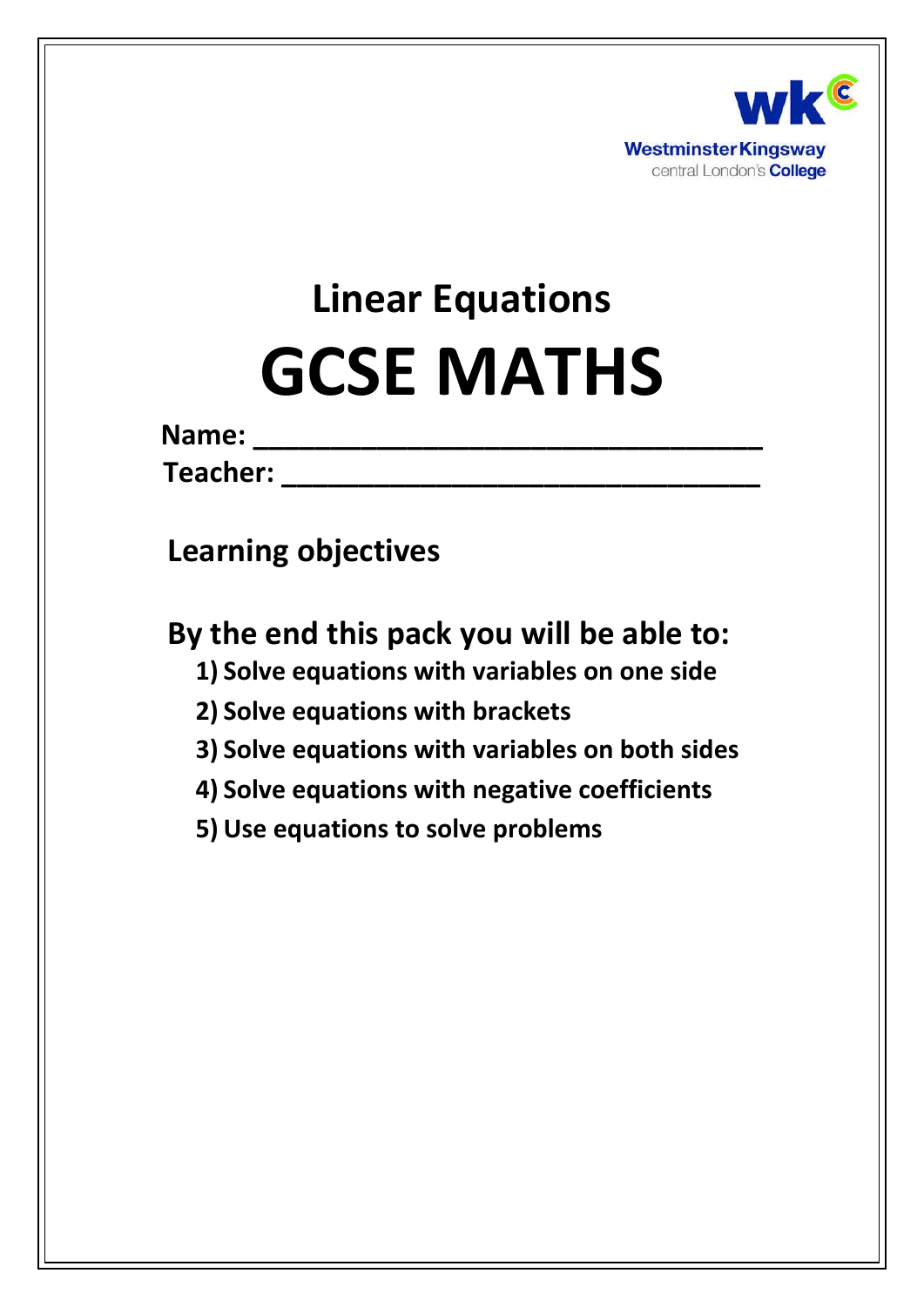

# **Linear Equations GCSE MATHS**

| Name: |  |  |  |  |  |  |
|-------|--|--|--|--|--|--|
|       |  |  |  |  |  |  |
|       |  |  |  |  |  |  |

 $\blacksquare$  **Teacher:**  $\blacksquare$ 

**Learning objectives**

**By the end this pack you will be able to:**

- **1) Solve equations with variables on one side**
- **2) Solve equations with brackets**
- **3) Solve equations with variables on both sides**
- **4) Solve equations with negative coefficients**
- **5) Use equations to solve problems**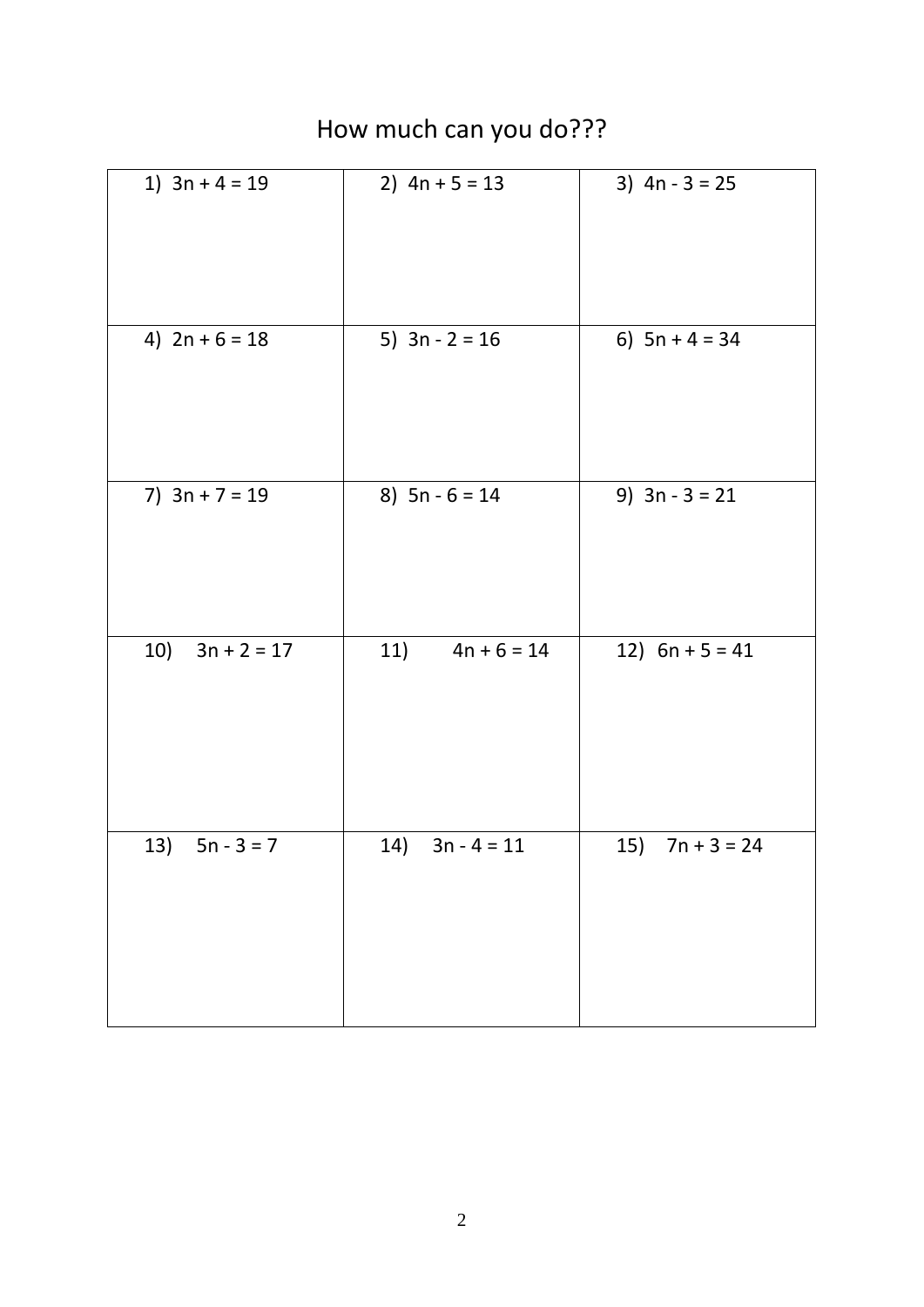| 1) $3n + 4 = 19$     | 2) $4n + 5 = 13$     | 3) $4n - 3 = 25$  |
|----------------------|----------------------|-------------------|
| 4) $2n + 6 = 18$     | 5) $3n - 2 = 16$     | 6) $5n + 4 = 34$  |
| 7) $3n + 7 = 19$     | 8) $5n - 6 = 14$     | 9) $3n - 3 = 21$  |
| $3n + 2 = 17$<br>10) | $4n + 6 = 14$<br>11) | 12) $6n + 5 = 41$ |
| 13) $5n - 3 = 7$     | 14) $3n - 4 = 11$    | 15) $7n + 3 = 24$ |

## How much can you do???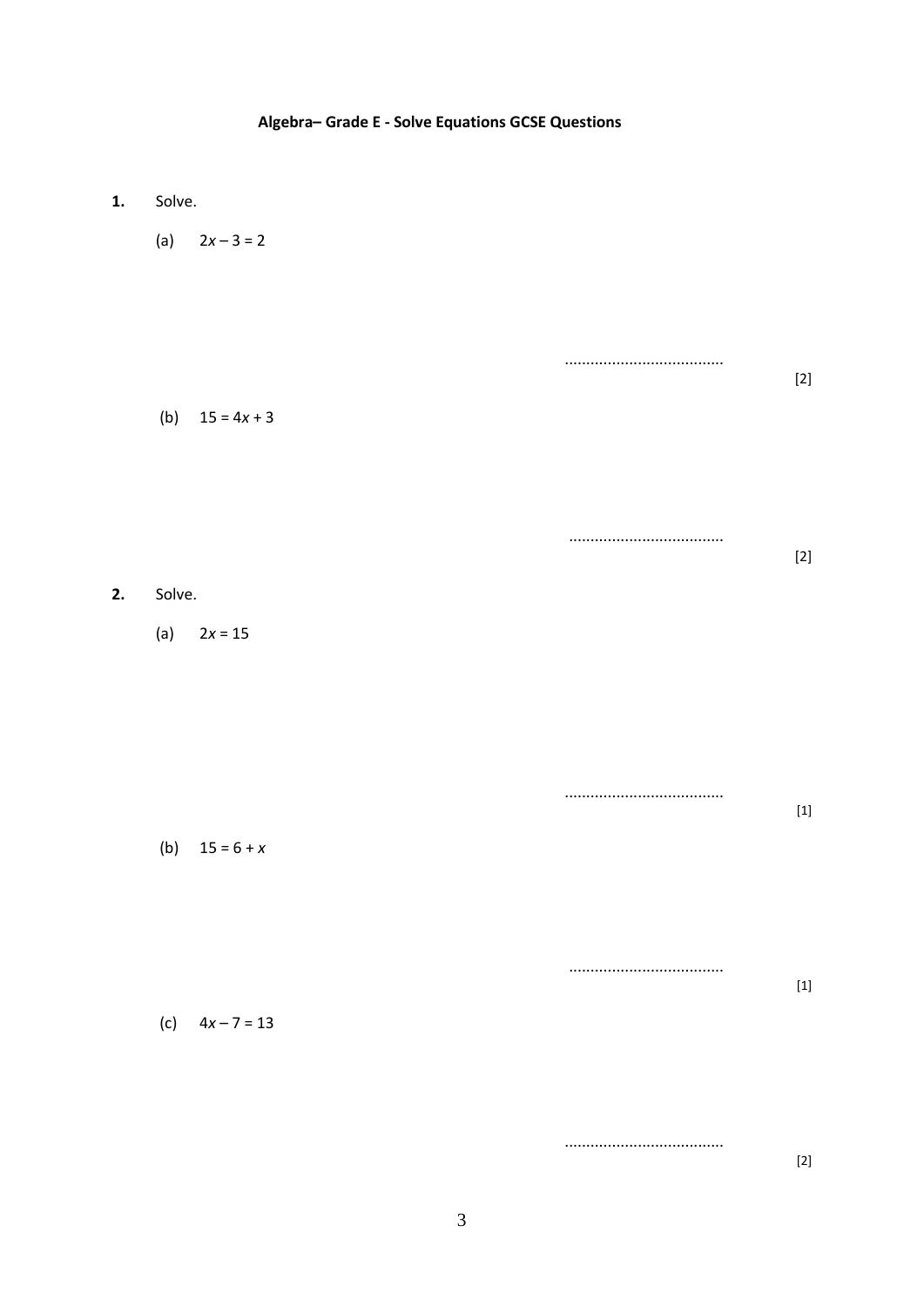#### Algebra-Grade E - Solve Equations GCSE Questions

- $1.$ Solve.
	- (a)  $2x-3=2$
	- ................................... (b)  $15 = 4x + 3$

 $[2]$ 

#### $2.$ Solve.

(a)  $2x = 15$ 

 $[1] % \centering \includegraphics[width=0.9\columnwidth]{figures/fig_10.pdf} \caption{The graph $\mathcal{N}_1$ is a function of the number of times, and the number of times, and the number of times, are indicated in the number of times, and the number of times, are indicated in the number of times, and the number of times, are indicated in the number of times, and the number of times, are indicated in the number of times, and the number of times, are indicated in the number of times, and the number of times, are indicated in the number of times, and the number of times, are indicated in the number of times, and the number of times, are indicated in the number of times, and the number of times, are indicated in the number of times, and the number of times, are indicated in the number of times, and the number of times, are indicated in the number of times, and the number of times, are indicated in the$ (b)  $15 = 6 + x$ 

.................................. (c)  $4x - 7 = 13$ 

> ...................................  $[2]$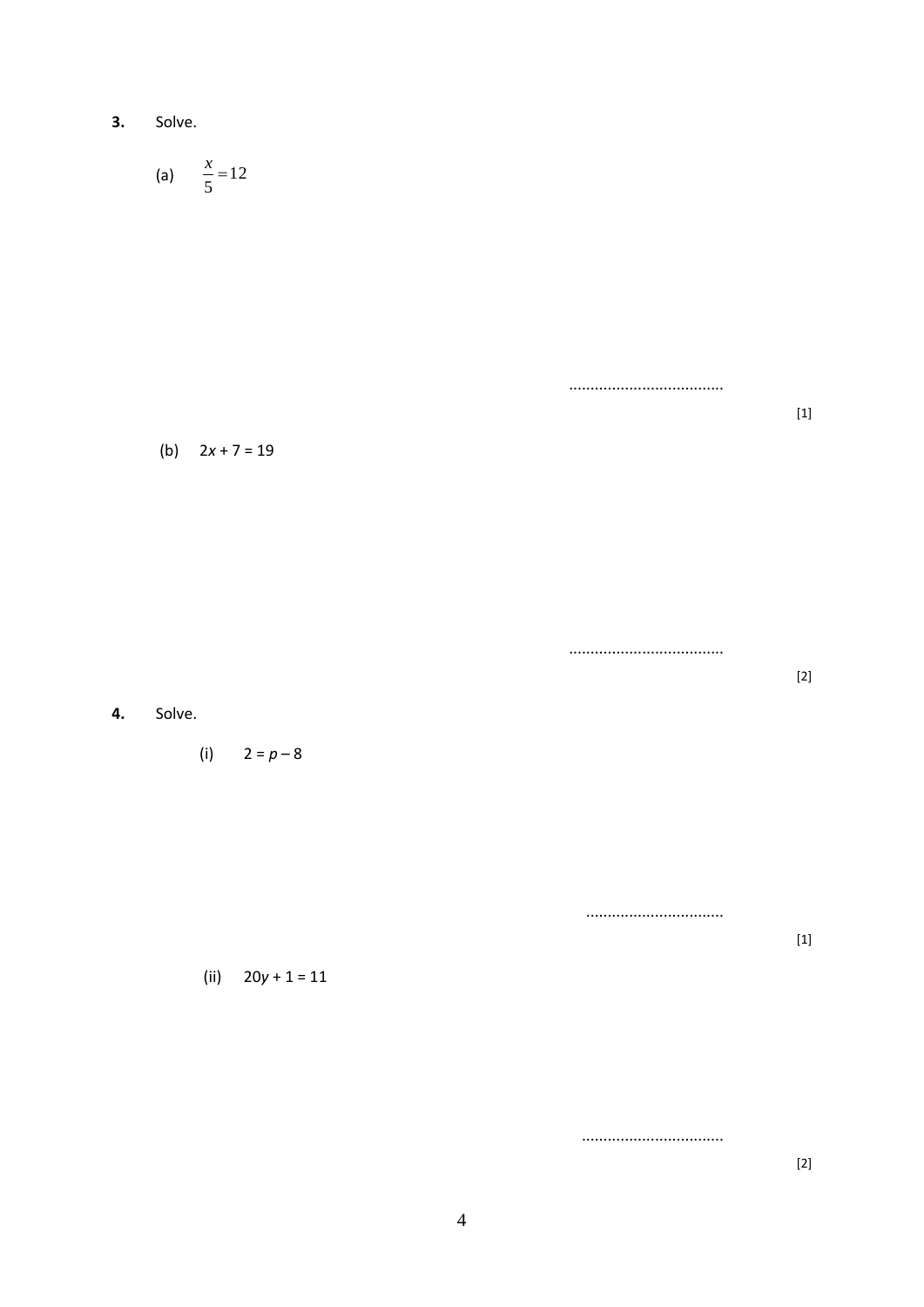3. Solve.

(a) 
$$
\frac{x}{5} = 12
$$

 $[1] % \centering \includegraphics[width=0.9\columnwidth]{figures/fig_10.pdf} \caption{The graph $\mathcal{N}_1$ is a function of the number of times, and the number of times, and the number of times, are indicated in the number of times, and the number of times, are indicated in the number of times, and the number of times, are indicated in the number of times, and the number of times, are indicated in the number of times, and the number of times, are indicated in the number of times, and the number of times, are indicated in the number of times, and the number of times, are indicated in the number of times, and the number of times, are indicated in the number of times, and the number of times, are indicated in the number of times, and the number of times, are indicated in the number of times, and the number of times, are indicated in the number of times, and the number of times, are indicated in the$ 

#### (b)  $2x + 7 = 19$

4. Solve.

(i)  $2 = p - 8$ 

(ii)  $20y + 1 = 11$ 

...................................

...............................

................................

 $[1] % \centering \includegraphics[width=0.9\columnwidth]{figures/fig_10.pdf} \caption{The graph $\mathcal{N}_1$ is a function of the number of times, and the number of times, and the number of times, are indicated with the number of times, and the number of times, are indicated with the number of times, and the number of times, are indicated with the number of times, and the number of times, are indicated with the number of times, and the number of times, are indicated with the number of times, and the number of times, are indicated with the number of times.} \label{fig:3}$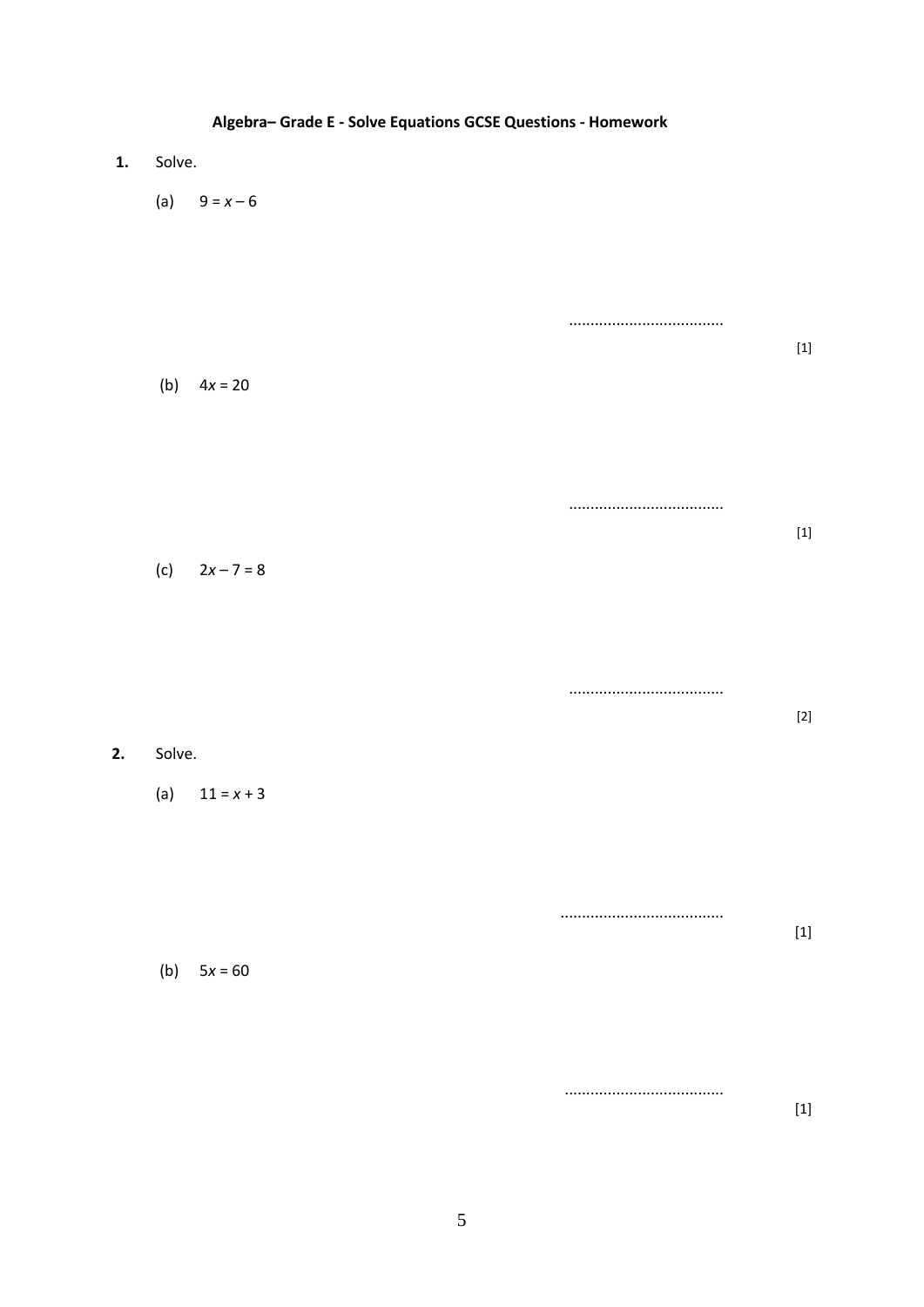|    | Algebra-Grade E - Solve Equations GCSE Questions - Homework |                       |  |  |  |  |  |  |  |  |  |  |
|----|-------------------------------------------------------------|-----------------------|--|--|--|--|--|--|--|--|--|--|
| 1. | Solve.                                                      |                       |  |  |  |  |  |  |  |  |  |  |
|    | (a) $9 = x - 6$                                             |                       |  |  |  |  |  |  |  |  |  |  |
|    | (b) $4x = 20$                                               |                       |  |  |  |  |  |  |  |  |  |  |
|    | (c) $2x - 7 = 8$                                            |                       |  |  |  |  |  |  |  |  |  |  |
| 2. | Solve.                                                      | <br>$\left[ 2\right]$ |  |  |  |  |  |  |  |  |  |  |
|    | (a) $11 = x + 3$<br>$5x = 60$<br>(b)                        |                       |  |  |  |  |  |  |  |  |  |  |
|    |                                                             |                       |  |  |  |  |  |  |  |  |  |  |

## $\overline{5}$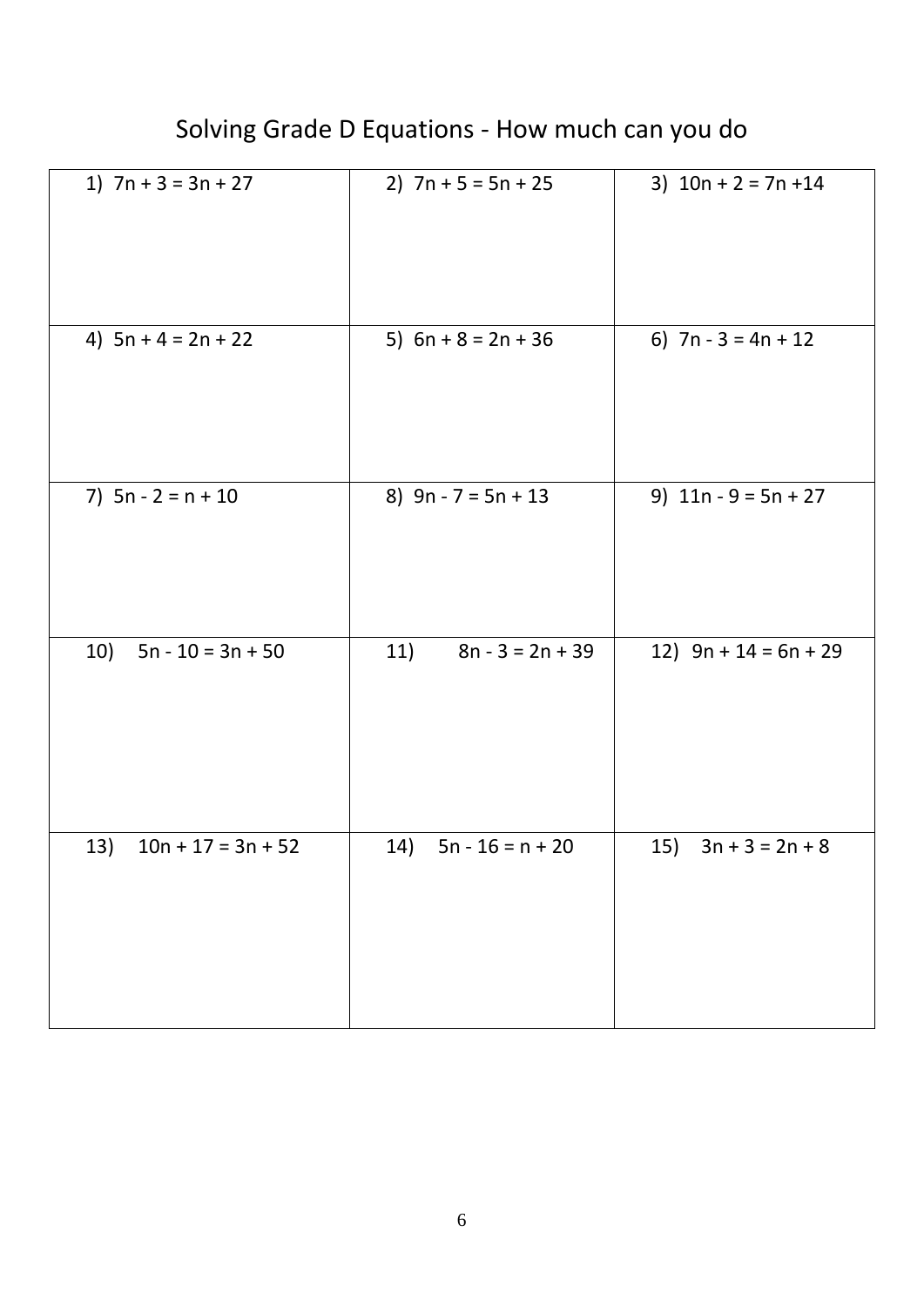| 1) $7n + 3 = 3n + 27$       | 2) $7n + 5 = 5n + 25$     | 3) $10n + 2 = 7n + 14$   |
|-----------------------------|---------------------------|--------------------------|
| 4) $5n + 4 = 2n + 22$       | 5) $6n + 8 = 2n + 36$     | 6) $7n - 3 = 4n + 12$    |
| 7) $5n - 2 = n + 10$        | 8) $9n - 7 = 5n + 13$     | 9) $11n - 9 = 5n + 27$   |
| 10)<br>$5n - 10 = 3n + 50$  | 11)<br>$8n - 3 = 2n + 39$ | 12) $9n + 14 = 6n + 29$  |
| $10n + 17 = 3n + 52$<br>13) | 14)<br>$5n - 16 = n + 20$ | $3n + 3 = 2n + 8$<br>15) |

## Solving Grade D Equations - How much can you do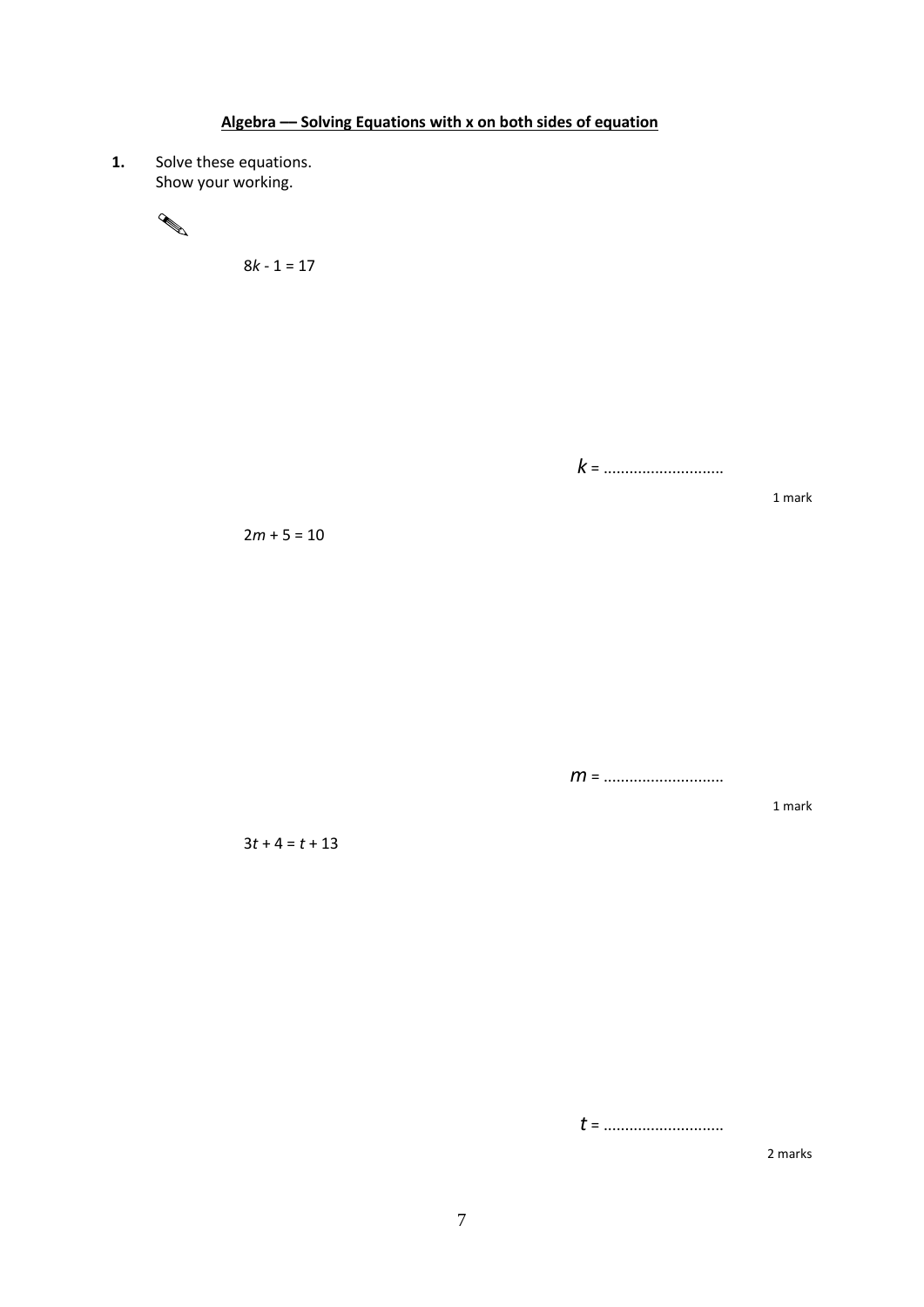**1.** Solve these equations. Show your working.



8*k* - 1 = 17

*k* = ............................

 $2m + 5 = 10$ 

*m* = ............................

1 mark

1 mark

 $3t + 4 = t + 13$ 

*t* = ............................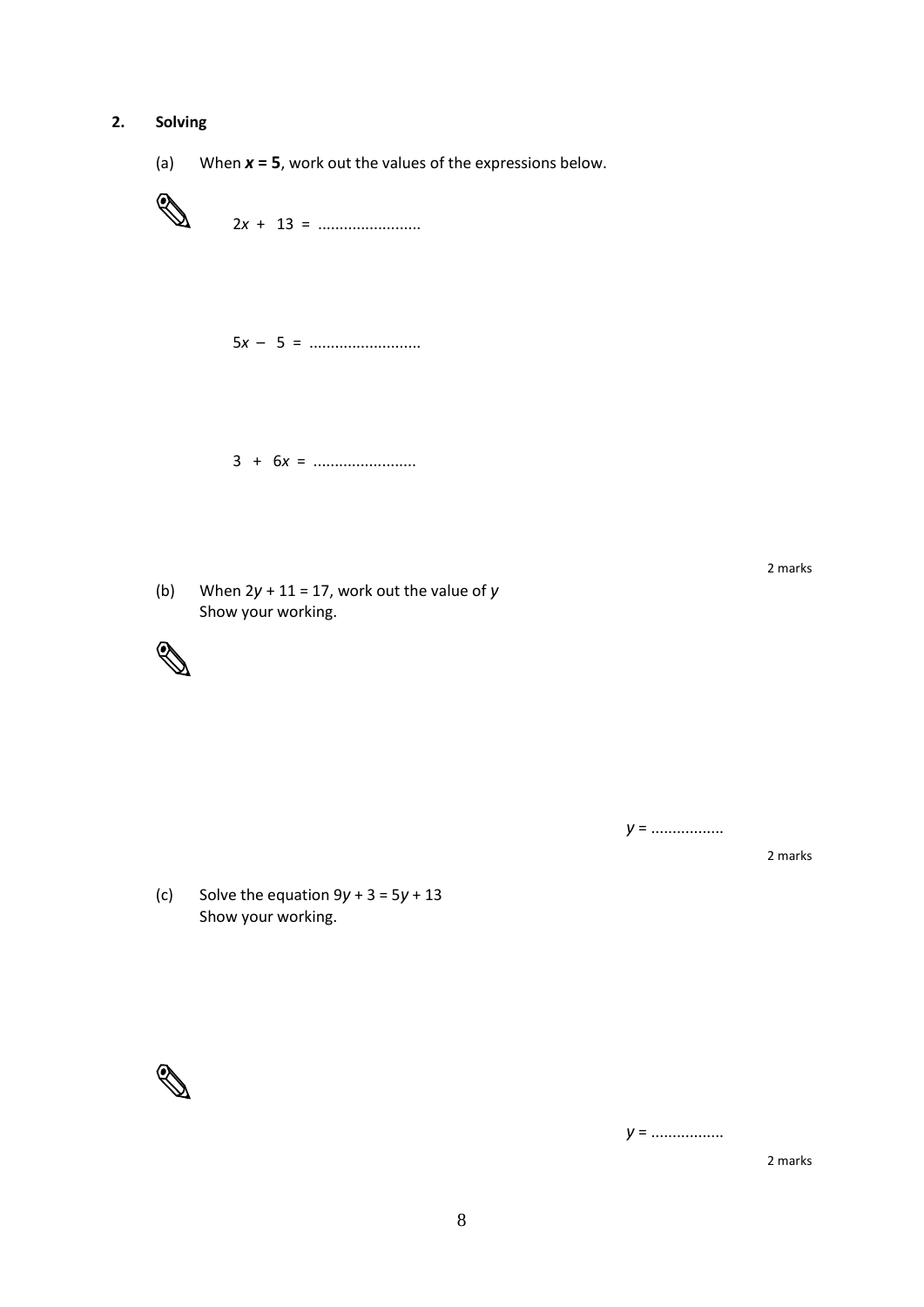#### **2. Solving**

(a) When *x* **= 5**, work out the values of the expressions below.



5*x* – 5 = ..........................

3 + 6*x* = ........................

(b) When 2*y* + 11 = 17, work out the value of *y* Show your working.



2 marks

*y* = .................

2 marks

(c) Solve the equation 9*y* + 3 = 5*y* + 13 Show your working.



*y* = .................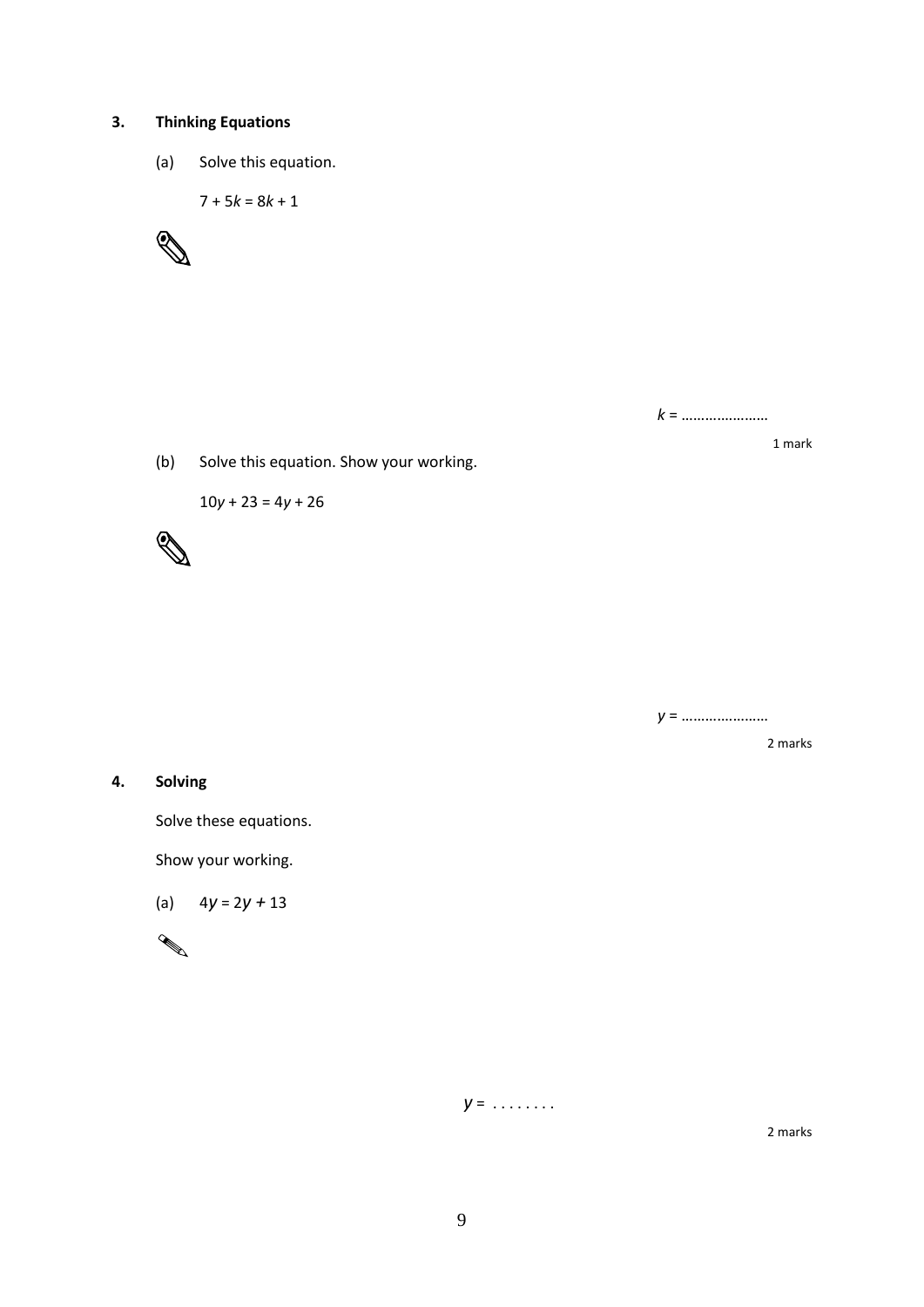#### **3. Thinking Equations**

(a) Solve this equation.

 $7 + 5k = 8k + 1$ 



*k* = ……….…………

1 mark

2 marks

(b) Solve this equation. Show your working.

10*y* + 23 = 4*y* + 26



*y* = ……….…………

**4. Solving**

Solve these equations.

Show your working.

(a) 4*y* = 2*y +* 13

$$
\mathscr{A}
$$

*y* = . . . . . . . .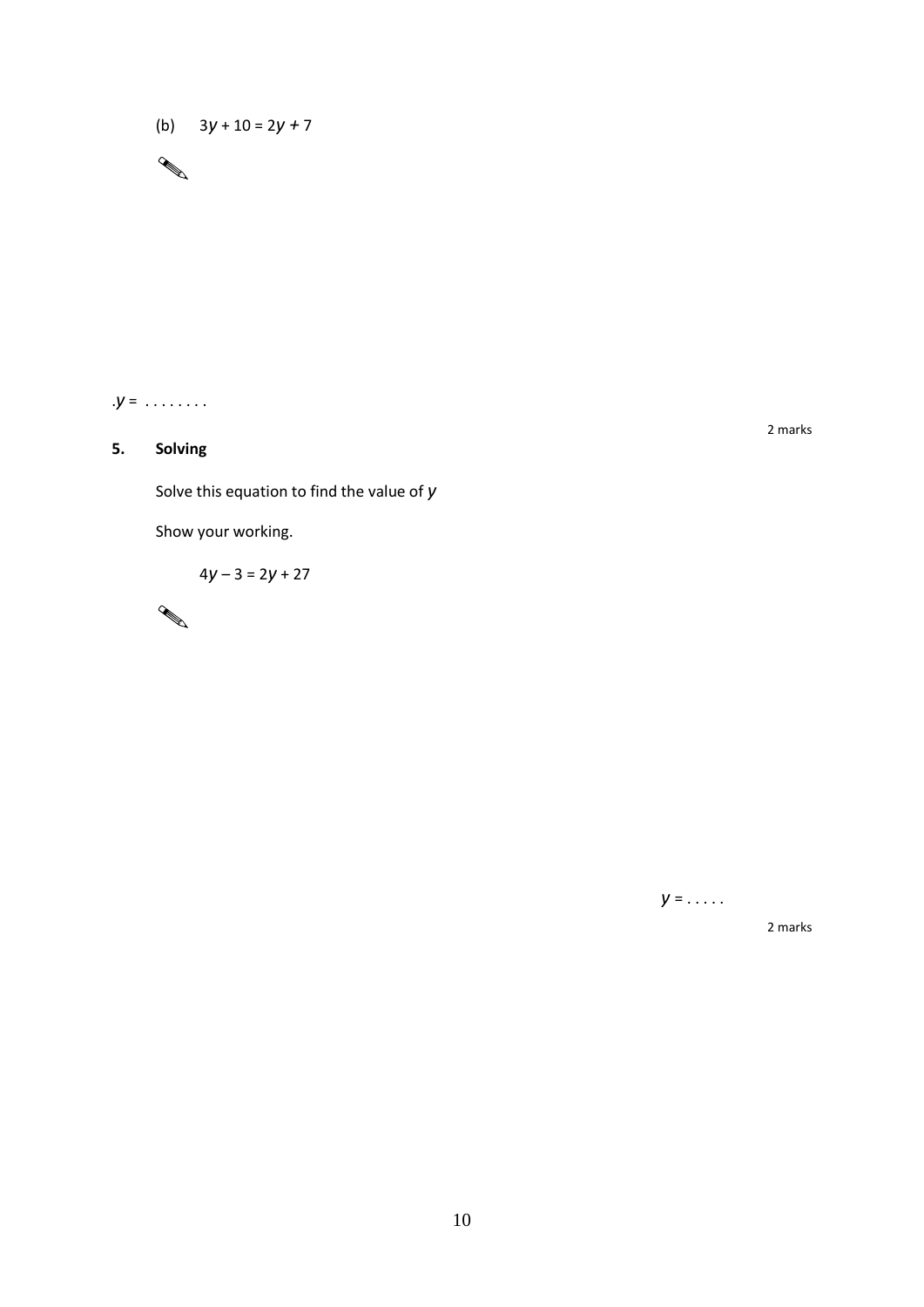(b) 3*y* + 10 = 2*y +* 7



#### **5. Solving**

Solve this equation to find the value of *y*

Show your working.

$$
4y - 3 = 2y + 27
$$



2 marks

*y* = . . . . .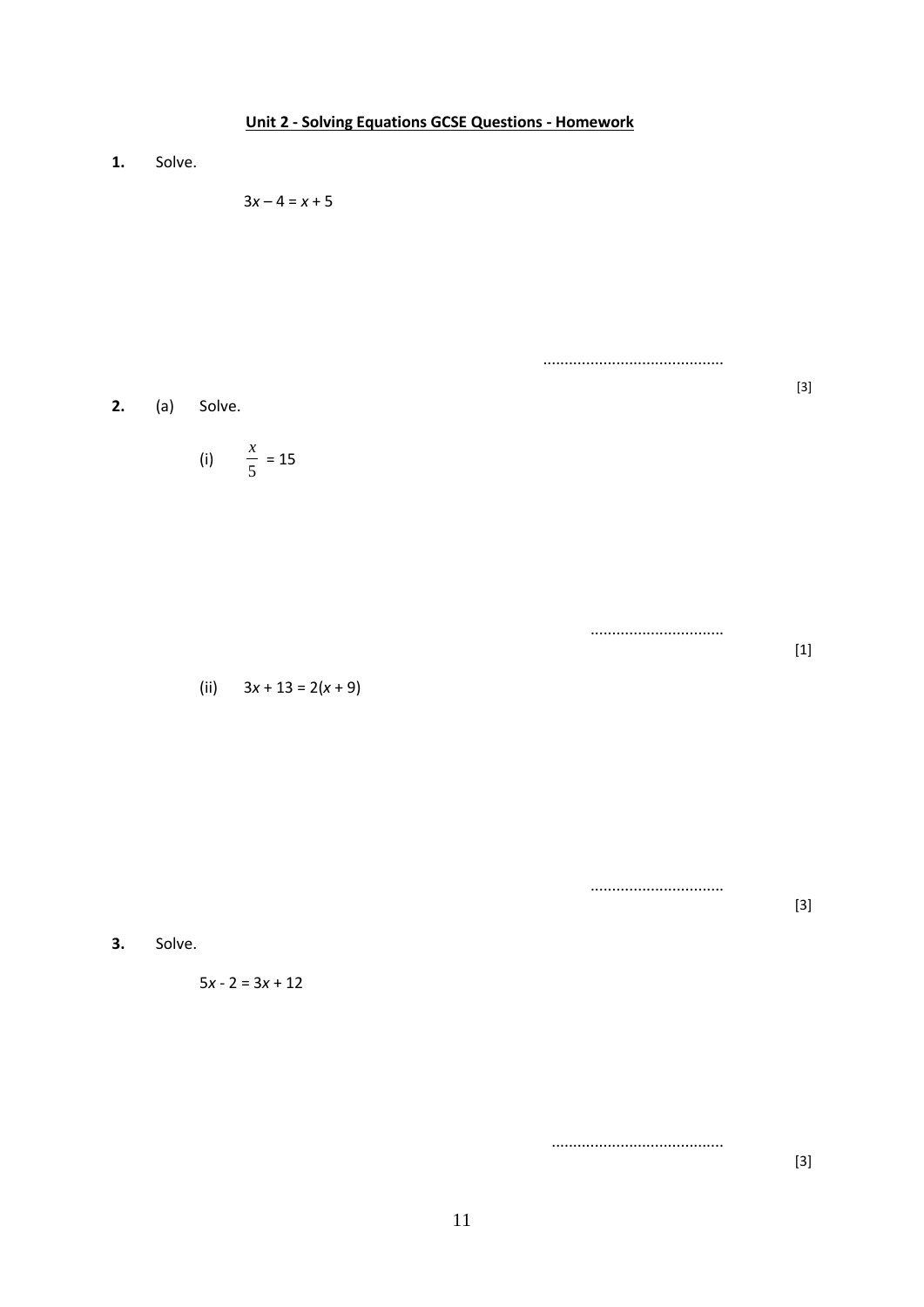# **Unit 2 - Solving Equations GCSE Questions - Homework 1.** Solve.  $3x - 4 = x + 5$ ..........................................

**2.** (a) Solve.

$$
(i) \qquad \frac{x}{5} = 15
$$

............................... [1]

[3]

[3]

[3]

(ii)  $3x + 13 = 2(x + 9)$ 

**3.** Solve.

$$
5x - 2 = 3x + 12
$$

........................................

...............................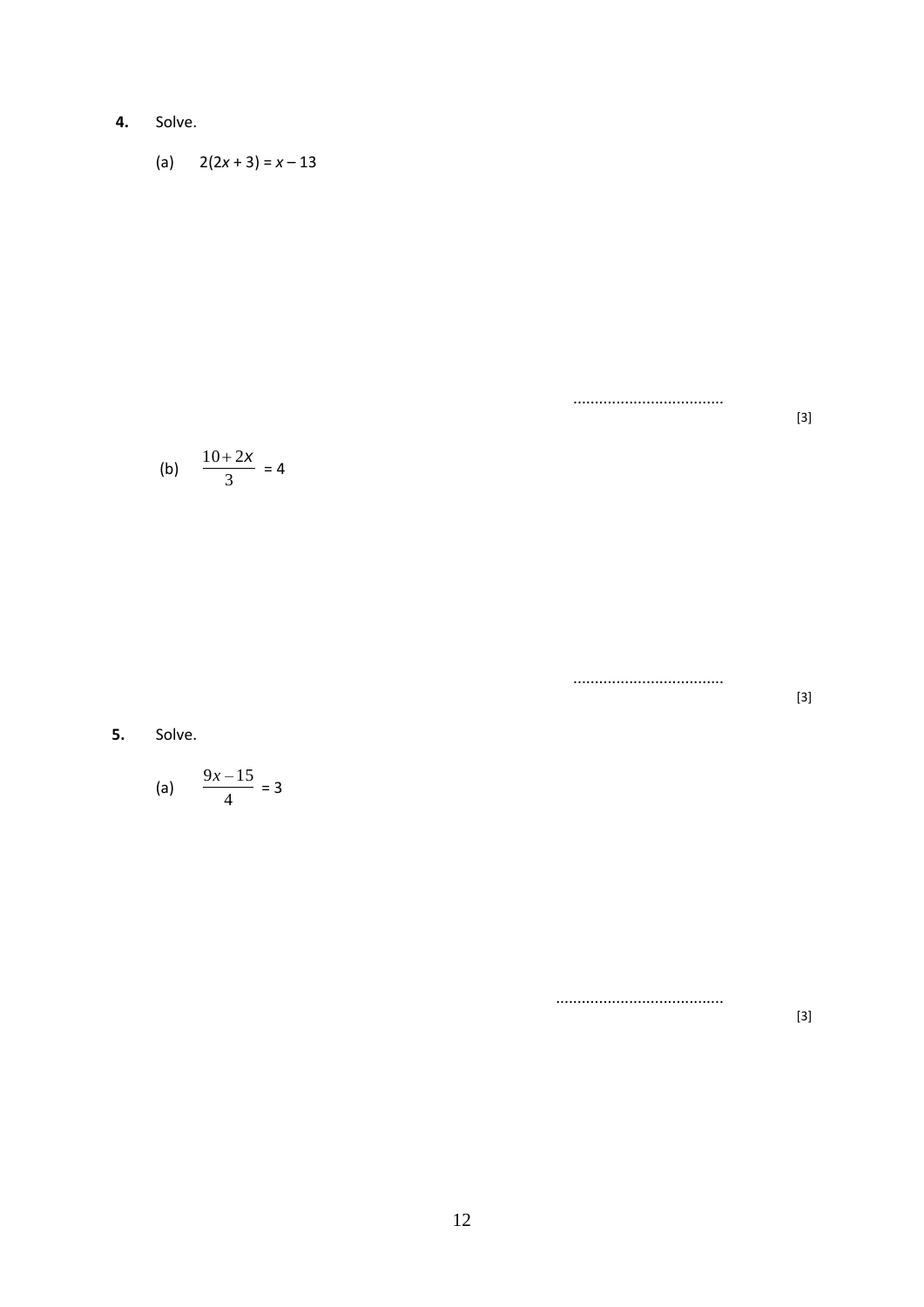4. Solve.

(a) 
$$
2(2x+3) = x-13
$$

 $[3] % \begin{center} \includegraphics[width=\linewidth]{imagesSupplemental/Imers.png} \end{center} % \vspace*{-1em} \caption{The image shows the number of parameters of the parameter $\mathfrak{B}$ and the number of parameters of the parameter $\mathfrak{B}$ and the number of parameters of the parameter $\mathfrak{B}$ and the number of parameters of the parameter $\mathfrak{B}$ and the number of parameters of the parameter $\mathfrak{B}$ and the number of parameters of the parameter $\mathfrak{B}$ and the number of parameters of the parameter $\mathfrak{B}$ and the number of parameters of the parameter $\mathfrak{B}$ and the number of parameters of the parameter $\mathfrak{B}$ and the number of parameters of the parameter $\mathfrak{B}$ and the number of parameters of the parameter $\mathfrak{B}$ and the number of parameters of the parameter $\math$ 

(b) 
$$
\frac{10+2x}{3} = 4
$$

.................................  $[3]$ 

.................................

5. Solve.

(a) 
$$
\frac{9x-15}{4} = 3
$$

.....................................

 $[3]$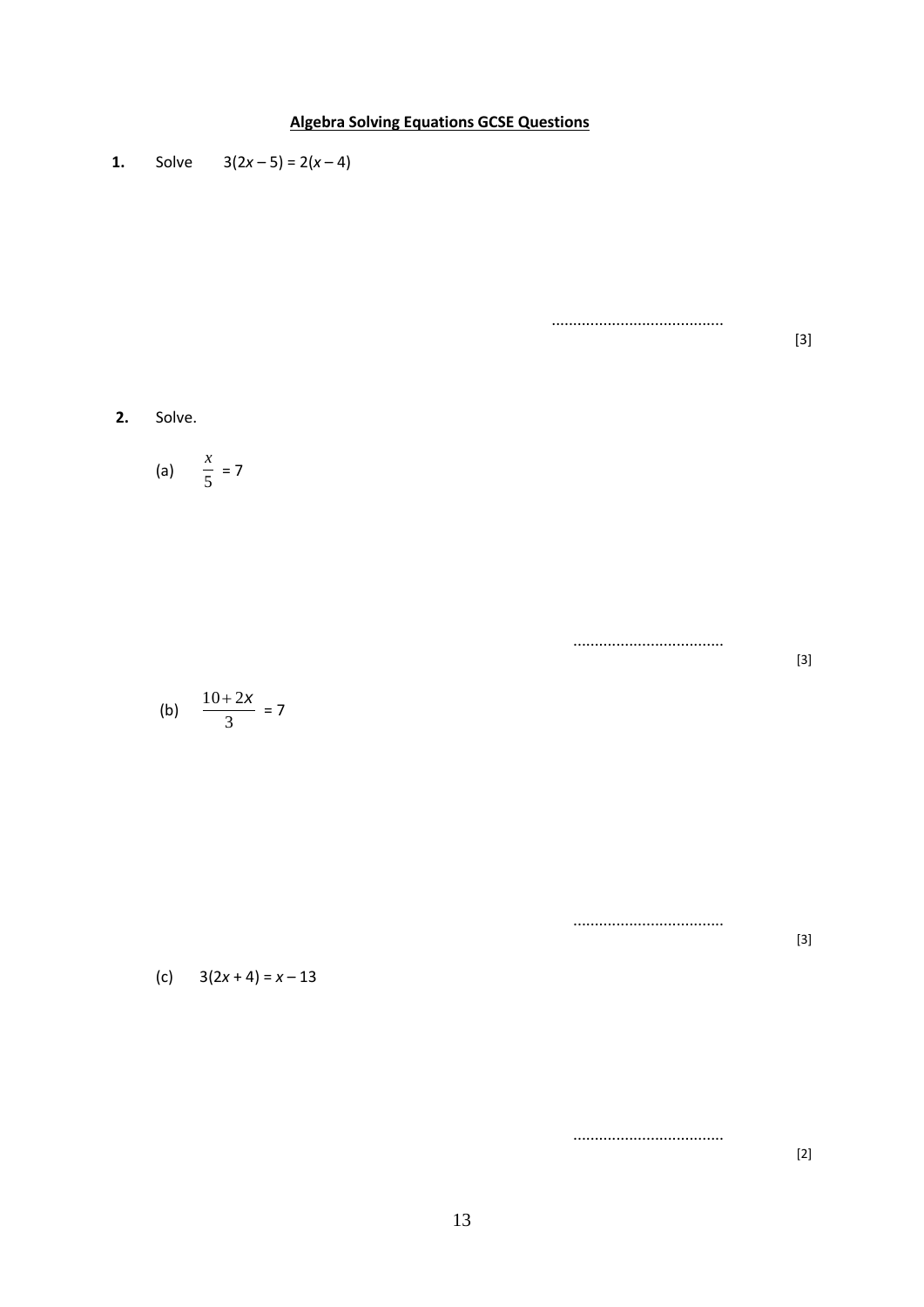

13

...................................

[2]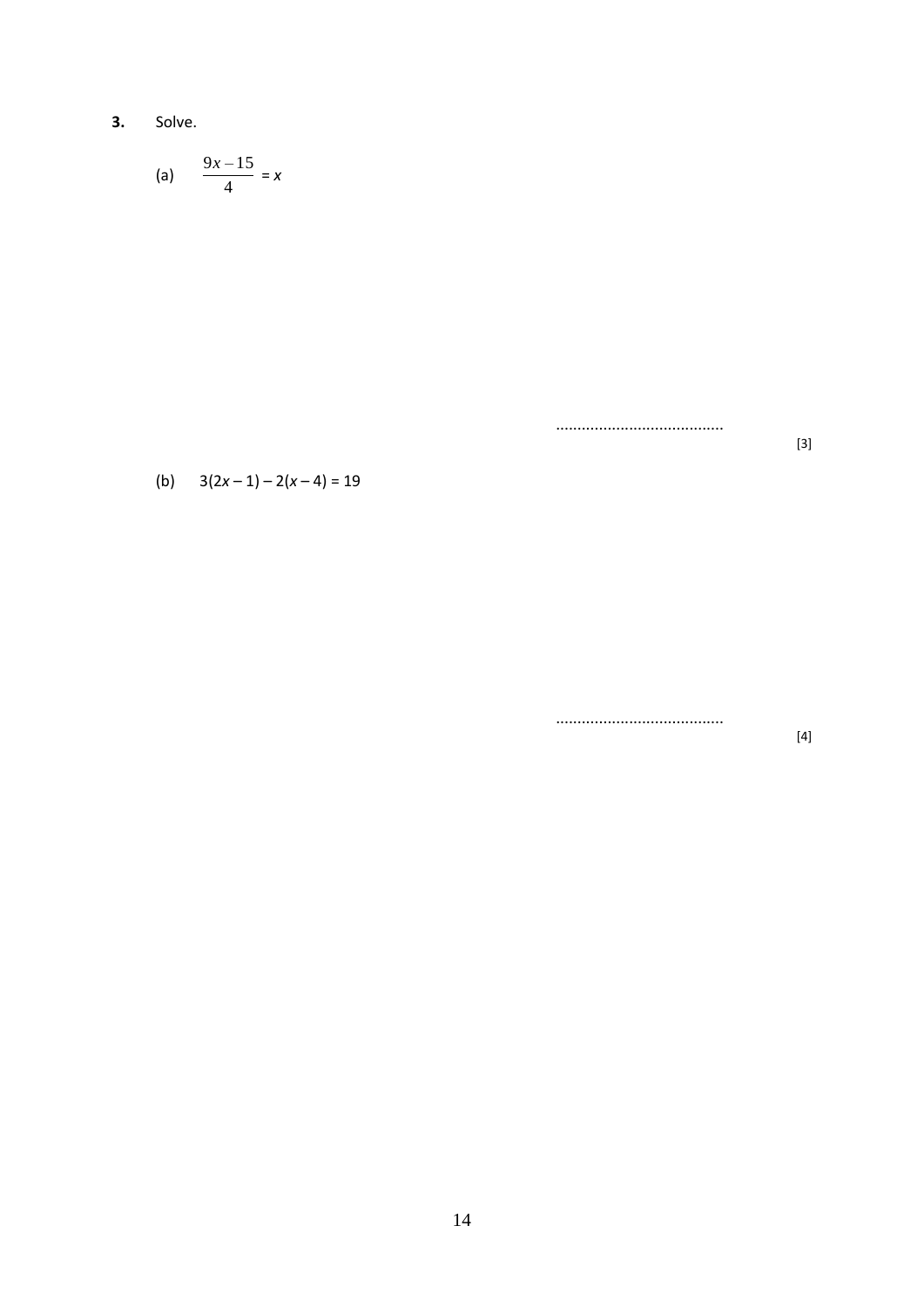$3.$ Solve.

$$
(a) \qquad \frac{9x-15}{4} = x
$$

.....................................

(b)  $3(2x-1)-2(x-4)=19$ 

 $[4] % \includegraphics[width=0.9\columnwidth]{images/TrDiS-Architecture.png} % \caption{The figure shows the results of the estimators in the left hand side.} \label{TrDiS-Architecture} %$ 

 $[3]$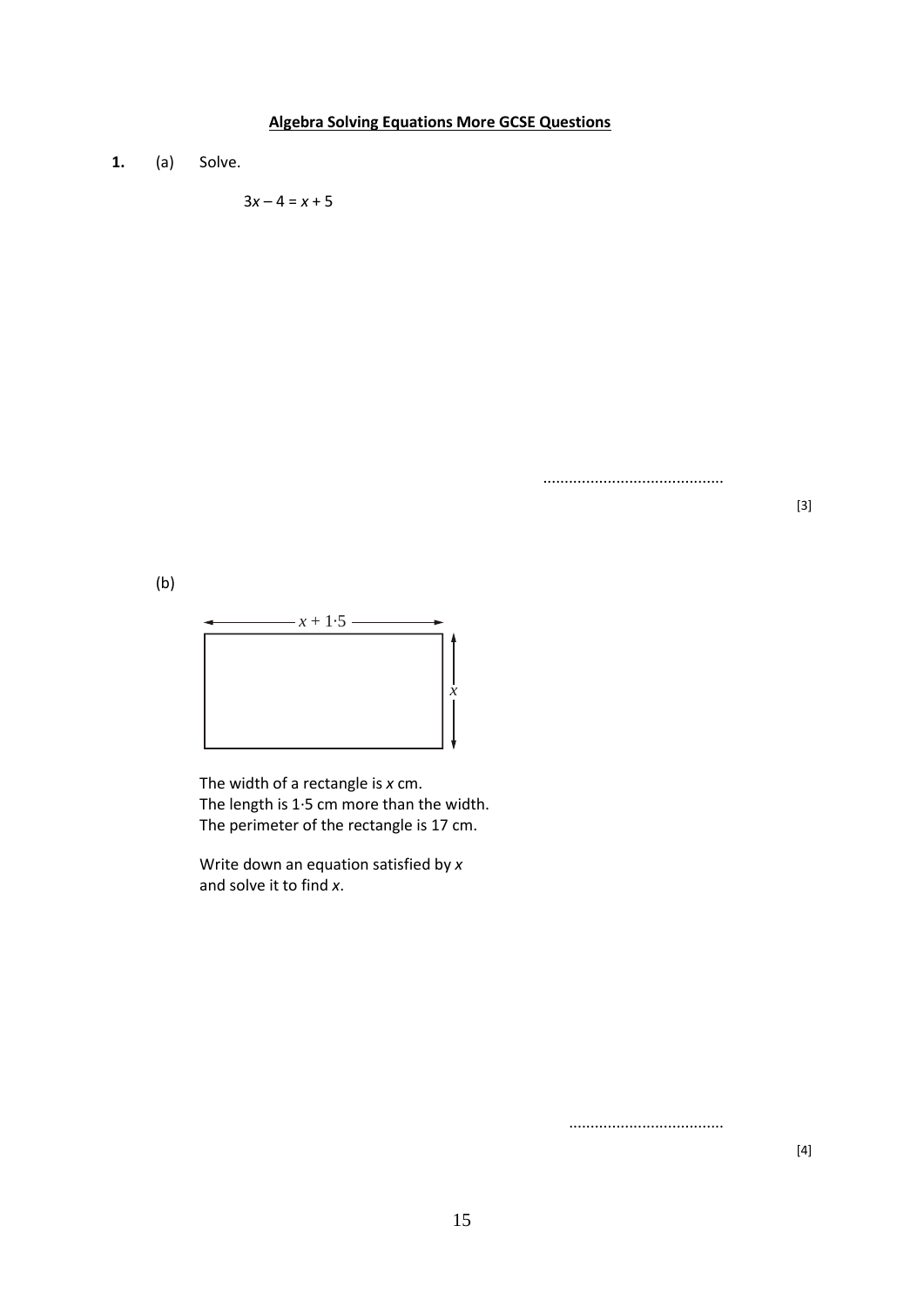#### **Algebra Solving Equations More GCSE Questions**

**1.** (a) Solve.

 $3x - 4 = x + 5$ 

..........................................

[3]

(b)



The width of a rectangle is *x* cm. The length is 1·5 cm more than the width. The perimeter of the rectangle is 17 cm.

Write down an equation satisfied by *x* and solve it to find *x*.

....................................

 $[4]$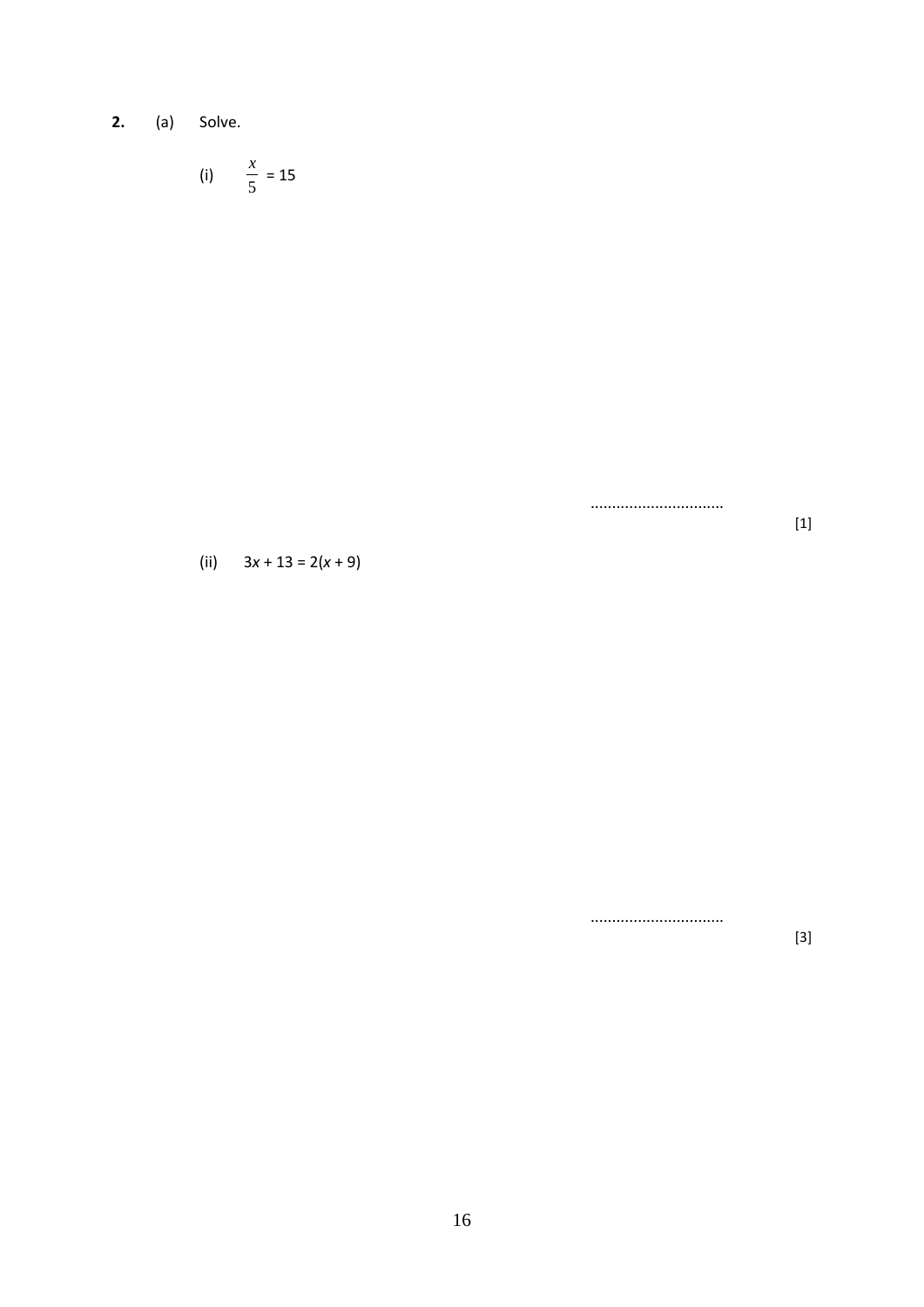$2.$ (a) Solve.

$$
(i) \qquad \frac{x}{5} = 15
$$

..............................

(ii)  $3x + 13 = 2(x + 9)$ 

..............................

 $[3]$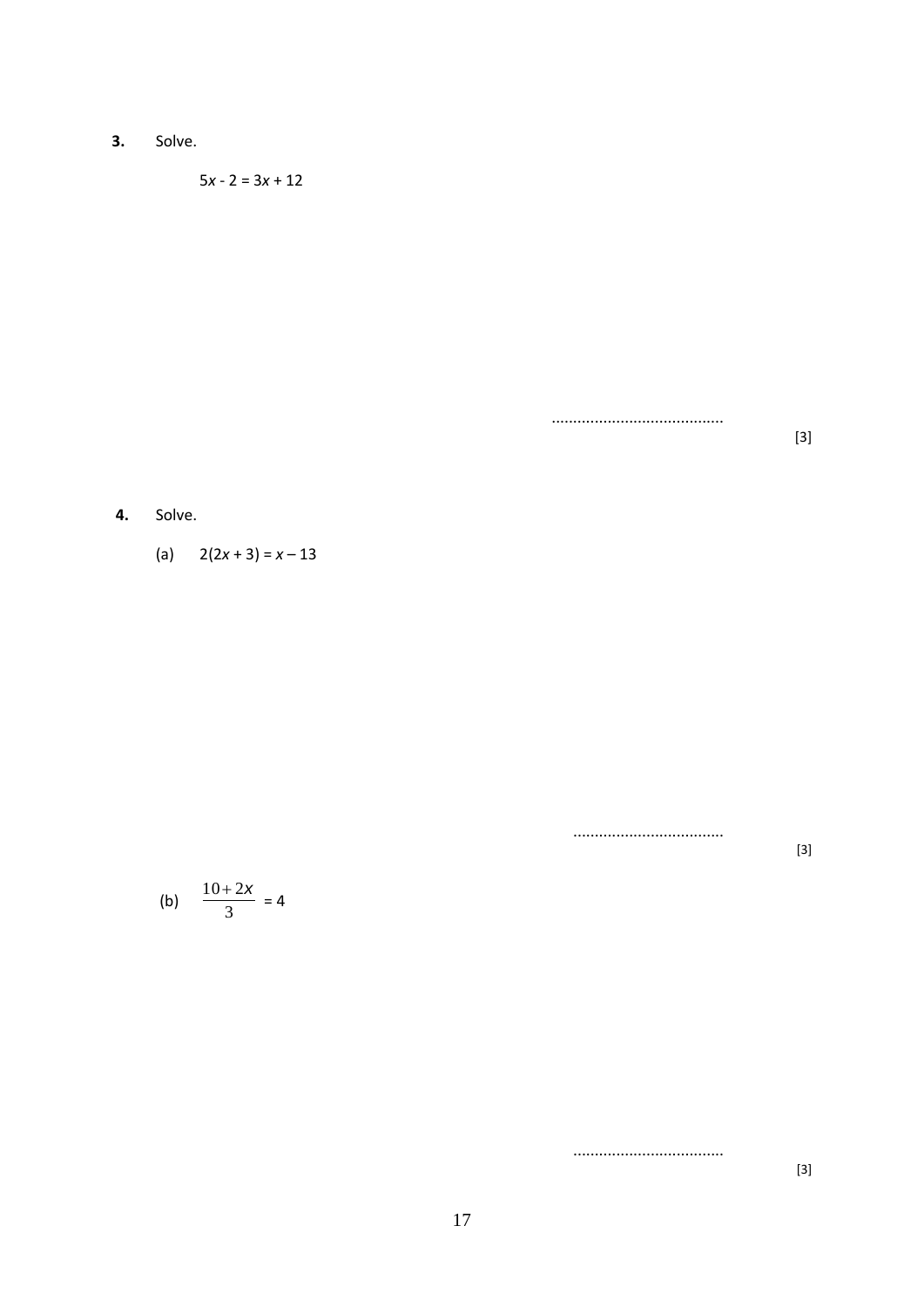$3.$ Solve.

$$
5x - 2 = 3x + 12
$$

 $[3]$ 

#### Solve. 4.

(a)  $2(2x+3) = x-13$ 

.................................

.................................

 $[3] % \begin{center} \includegraphics[width=\linewidth]{imagesSupplemental/Imers.png} \end{center} % \vspace*{-1em} \caption{The image shows the number of parameters of the parameter $\mathfrak{B}$ and the number of parameters of the parameter $\mathfrak{B}$ and the number of parameters of the parameter $\mathfrak{B}$ and the number of parameters of the parameter $\mathfrak{B}$ and the number of parameters of the parameter $\mathfrak{B}$ and the number of parameters of the parameter $\mathfrak{B}$ and the number of parameters of the parameter $\mathfrak{B}$ and the number of parameters of the parameter $\mathfrak{B}$ and the number of parameters of the parameter $\mathfrak{B}$ and the number of parameters of the parameter $\mathfrak{B}$ and the number of parameters of the parameter $\mathfrak{B}$ and the number of parameters of the parameter $\math$ 

(b) 
$$
\frac{10+2x}{3} = 4
$$

 $[3] % \begin{center} \includegraphics[width=\linewidth]{imagesSupplemental/Imit} \caption{The image shows the image shows a single number of times.} \label{fig:limal} \end{center}$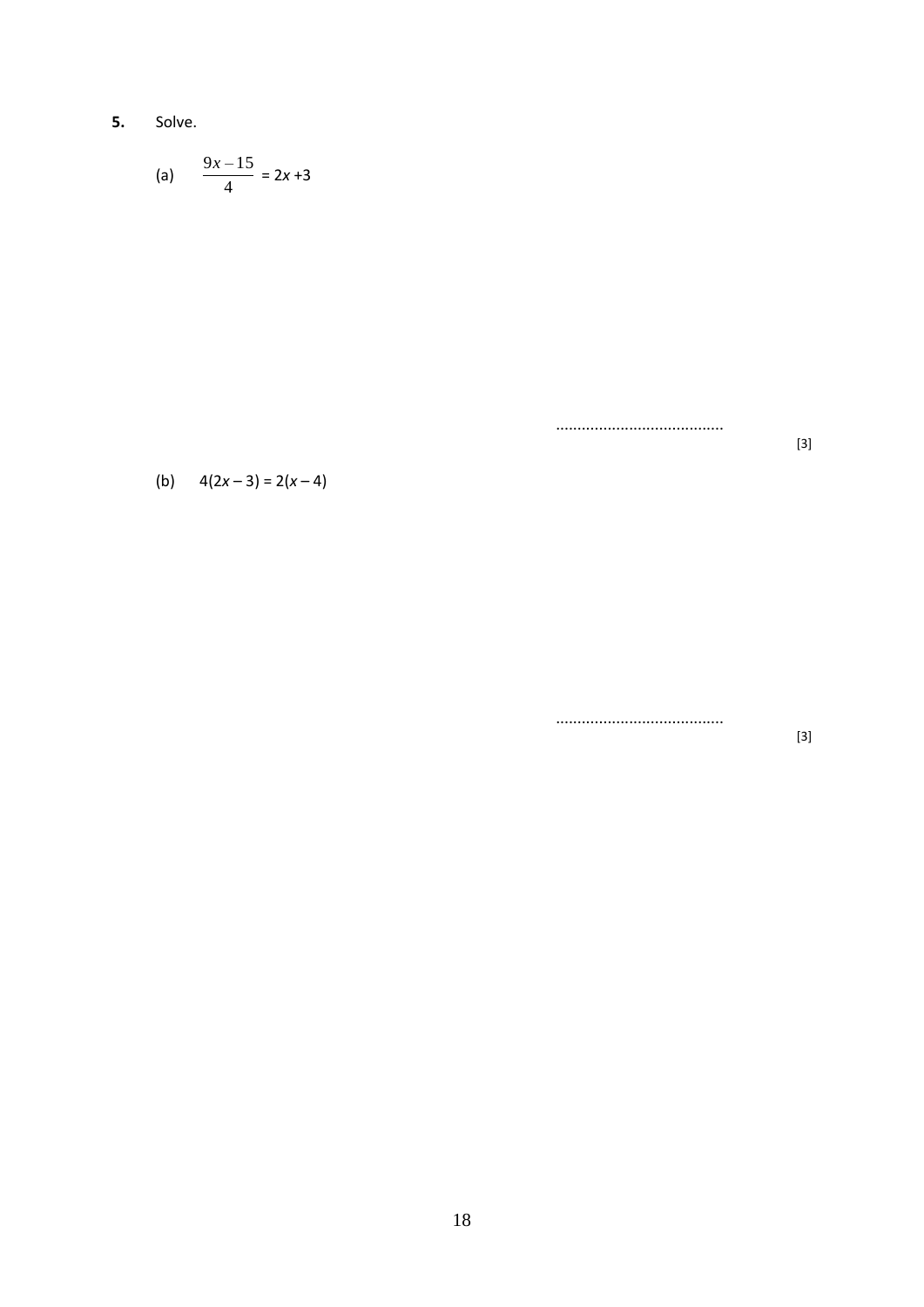$5.$ Solve.

(a) 
$$
\frac{9x-15}{4} = 2x+3
$$

.....................................

(b)  $4(2x-3) = 2(x-4)$ 

 $[3] % \begin{center} \includegraphics[width=\linewidth]{imagesSupplemental/Imetad-Architecture.png} \end{center} % \vspace*{-1em} \caption{The image shows the number of parameters of the parameter $A$. The first two times the number of parameters in the right.} \label{fig:lim} %$ 

 $[3]$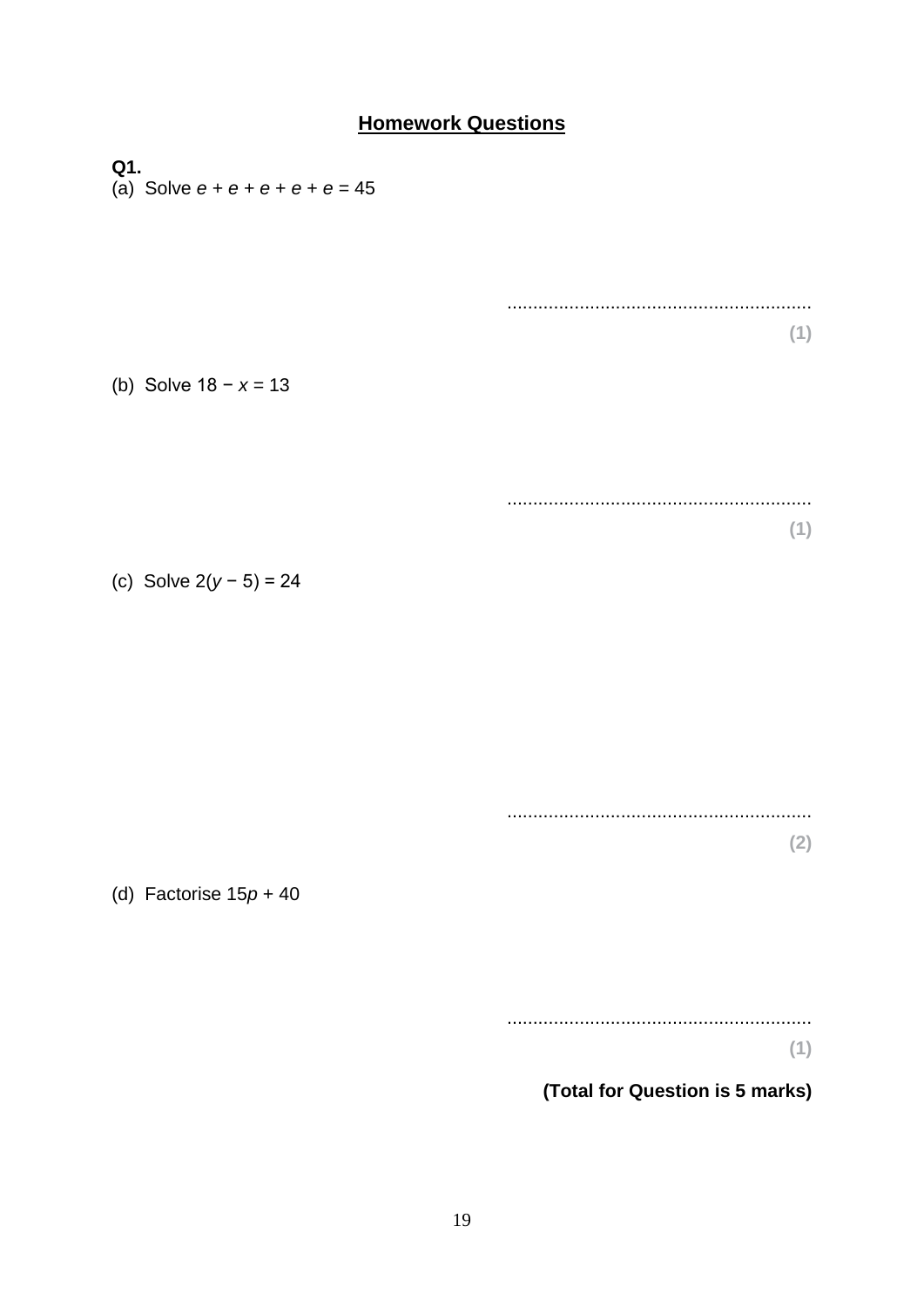### **Homework Questions**

Q1. (a) Solve  $e + e + e + e + e = 45$  $(1)$ (b) Solve  $18 - x = 13$  $(1)$ (c) Solve  $2(y - 5) = 24$  $(2)$ (d) Factorise  $15p + 40$  $(1)$ 

#### (Total for Question is 5 marks)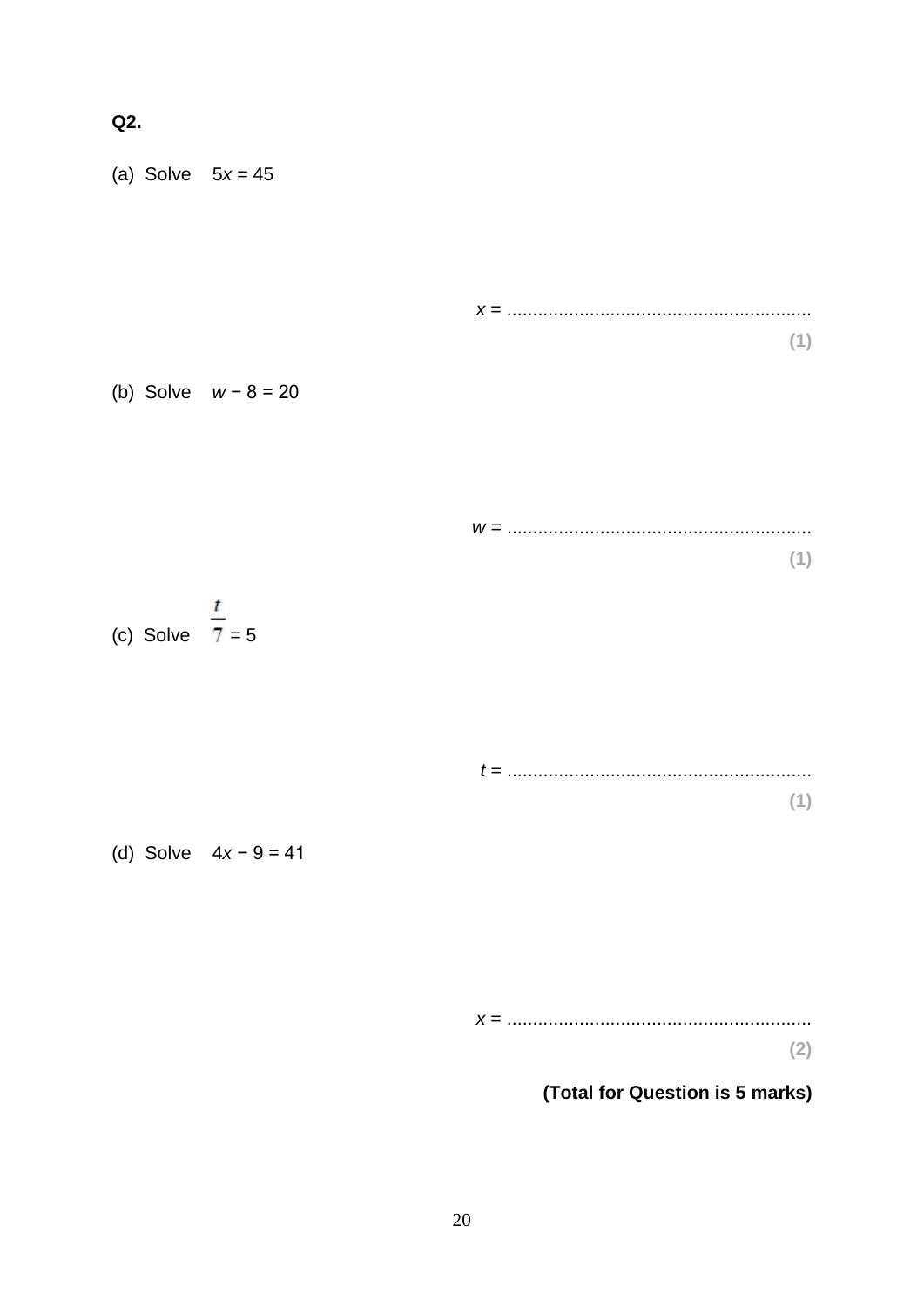Q2.

(a) Solve  $5x = 45$ 

| (b) Solve $w - 8 = 20$ |  |  |
|------------------------|--|--|

| $W =$ |  |  |
|-------|--|--|
|       |  |  |
|       |  |  |



(d) Solve  $4x - 9 = 41$ 

 $(2)$ 

### (Total for Question is 5 marks)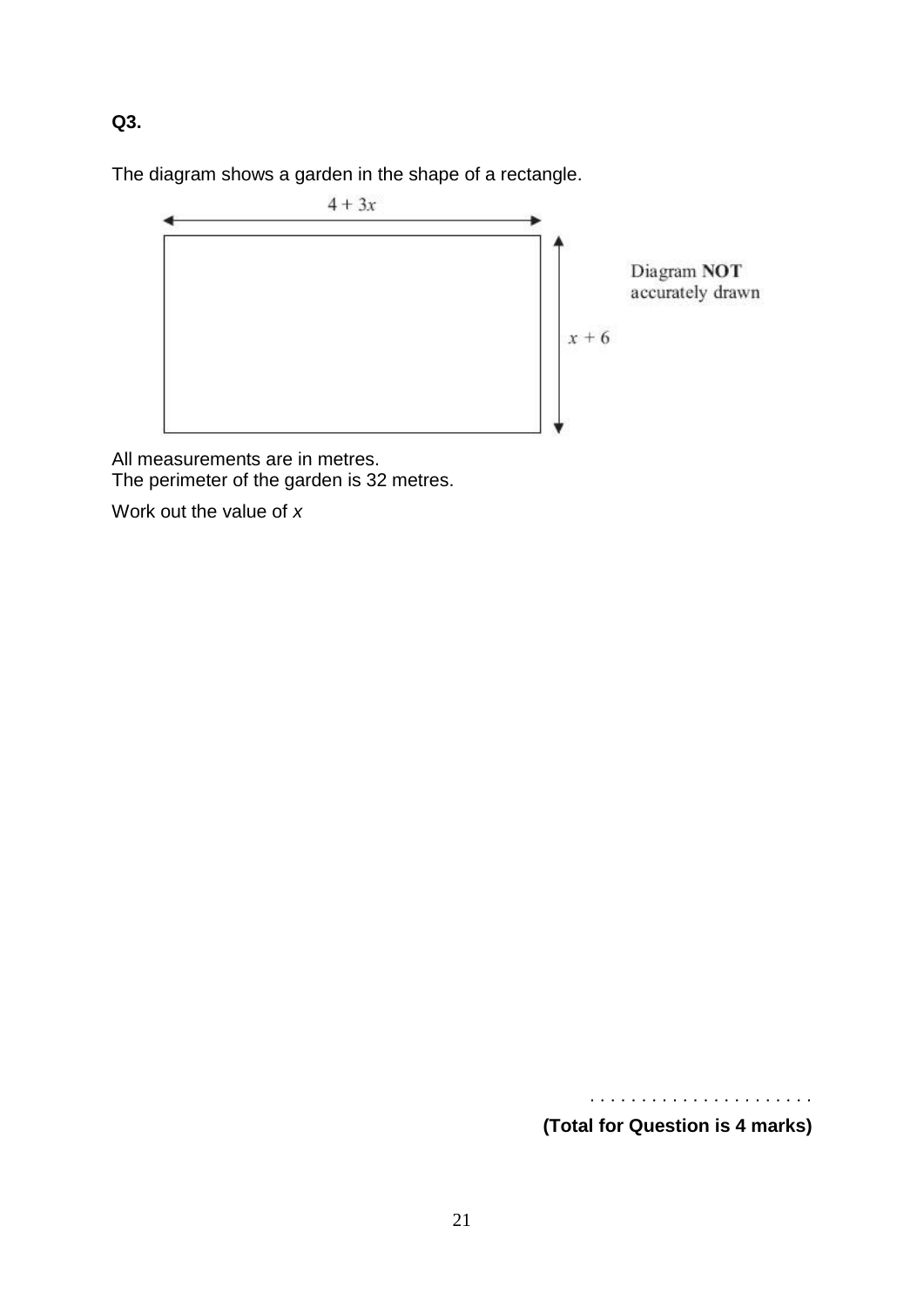**Q3.**

The diagram shows a garden in the shape of a rectangle.



All measurements are in metres. The perimeter of the garden is 32 metres.

Work out the value of *x*

**(Total for Question is 4 marks)**

. . . . . . . . . . . . . . . . . . . . . .